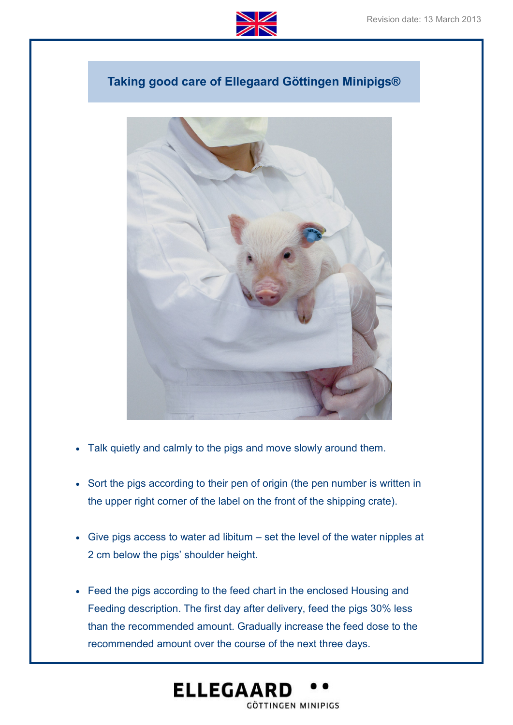

## **Taking good care of Ellegaard Göttingen Minipigs®**



- Talk quietly and calmly to the pigs and move slowly around them.
- Sort the pigs according to their pen of origin (the pen number is written in the upper right corner of the label on the front of the shipping crate).
- Give pigs access to water ad libitum set the level of the water nipples at 2 cm below the pigs' shoulder height.
- Feed the pigs according to the feed chart in the enclosed Housing and Feeding description. The first day after delivery, feed the pigs 30% less than the recommended amount. Gradually increase the feed dose to the recommended amount over the course of the next three days.

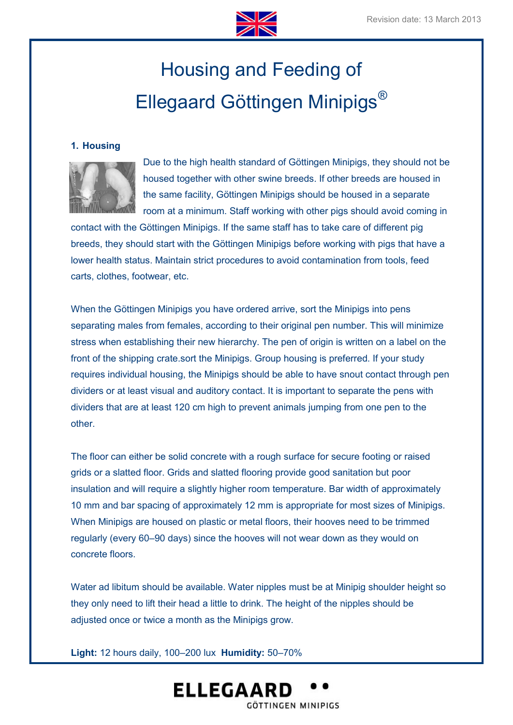

# Housing and Feeding of Ellegaard Göttingen Minipigs®

#### **1. Housing**



Due to the high health standard of Göttingen Minipigs, they should not be housed together with other swine breeds. If other breeds are housed in the same facility, Göttingen Minipigs should be housed in a separate room at a minimum. Staff working with other pigs should avoid coming in

contact with the Göttingen Minipigs. If the same staff has to take care of different pig breeds, they should start with the Göttingen Minipigs before working with pigs that have a lower health status. Maintain strict procedures to avoid contamination from tools, feed carts, clothes, footwear, etc.

When the Göttingen Minipigs you have ordered arrive, sort the Minipigs into pens separating males from females, according to their original pen number. This will minimize stress when establishing their new hierarchy. The pen of origin is written on a label on the front of the shipping crate.sort the Minipigs. Group housing is preferred. If your study requires individual housing, the Minipigs should be able to have snout contact through pen dividers or at least visual and auditory contact. It is important to separate the pens with dividers that are at least 120 cm high to prevent animals jumping from one pen to the other.

The floor can either be solid concrete with a rough surface for secure footing or raised grids or a slatted floor. Grids and slatted flooring provide good sanitation but poor insulation and will require a slightly higher room temperature. Bar width of approximately 10 mm and bar spacing of approximately 12 mm is appropriate for most sizes of Minipigs. When Minipigs are housed on plastic or metal floors, their hooves need to be trimmed regularly (every 60–90 days) since the hooves will not wear down as they would on concrete floors.

Water ad libitum should be available. Water nipples must be at Minipig shoulder height so they only need to lift their head a little to drink. The height of the nipples should be adjusted once or twice a month as the Minipigs grow.

**Light:** 12 hours daily, 100–200 lux **Humidity:** 50–70%

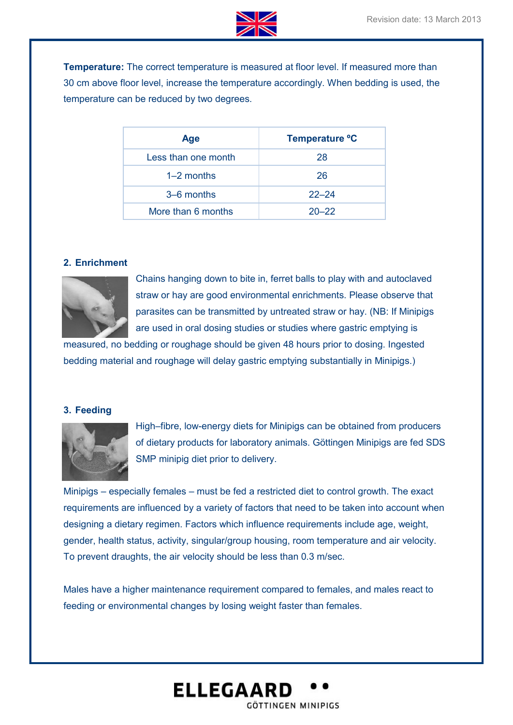

**Temperature:** The correct temperature is measured at floor level. If measured more than 30 cm above floor level, increase the temperature accordingly. When bedding is used, the temperature can be reduced by two degrees.

| <b>Age</b>          | Temperature °C |
|---------------------|----------------|
| Less than one month | 28             |
| $1-2$ months        | 26             |
| 3–6 months          | $22 - 24$      |
| More than 6 months  | $20 - 22$      |

#### **2. Enrichment**



Chains hanging down to bite in, ferret balls to play with and autoclaved straw or hay are good environmental enrichments. Please observe that parasites can be transmitted by untreated straw or hay. (NB: If Minipigs are used in oral dosing studies or studies where gastric emptying is

measured, no bedding or roughage should be given 48 hours prior to dosing. Ingested bedding material and roughage will delay gastric emptying substantially in Minipigs.)

#### **3. Feeding**



High–fibre, low-energy diets for Minipigs can be obtained from producers of dietary products for laboratory animals. Göttingen Minipigs are fed SDS SMP minipig diet prior to delivery.

Minipigs – especially females – must be fed a restricted diet to control growth. The exact requirements are influenced by a variety of factors that need to be taken into account when designing a dietary regimen. Factors which influence requirements include age, weight, gender, health status, activity, singular/group housing, room temperature and air velocity. To prevent draughts, the air velocity should be less than 0.3 m/sec.

Males have a higher maintenance requirement compared to females, and males react to feeding or environmental changes by losing weight faster than females.

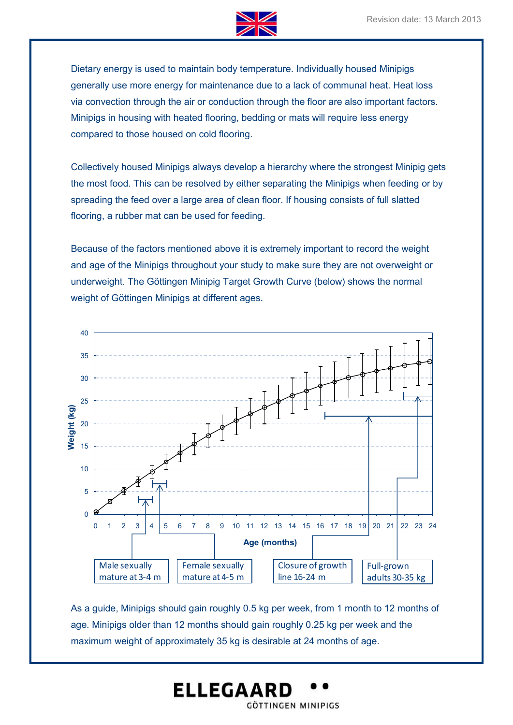

Dietary energy is used to maintain body temperature. Individually housed Minipigs generally use more energy for maintenance due to a lack of communal heat. Heat loss via convection through the air or conduction through the floor are also important factors. Minipigs in housing with heated flooring, bedding or mats will require less energy compared to those housed on cold flooring.

Collectively housed Minipigs always develop a hierarchy where the strongest Minipig gets the most food. This can be resolved by either separating the Minipigs when feeding or by spreading the feed over a large area of clean floor. If housing consists of full slatted flooring, a rubber mat can be used for feeding.

Because of the factors mentioned above it is extremely important to record the weight and age of the Minipigs throughout your study to make sure they are not overweight or underweight. The Göttingen Minipig Target Growth Curve (below) shows the normal weight of Göttingen Minipigs at different ages.



As a guide, Minipigs should gain roughly 0.5 kg per week, from 1 month to 12 months of age. Minipigs older than 12 months should gain roughly 0.25 kg per week and the maximum weight of approximately 35 kg is desirable at 24 months of age.

GÖTTINGEN MINIPIGS

**ELLEGAARD**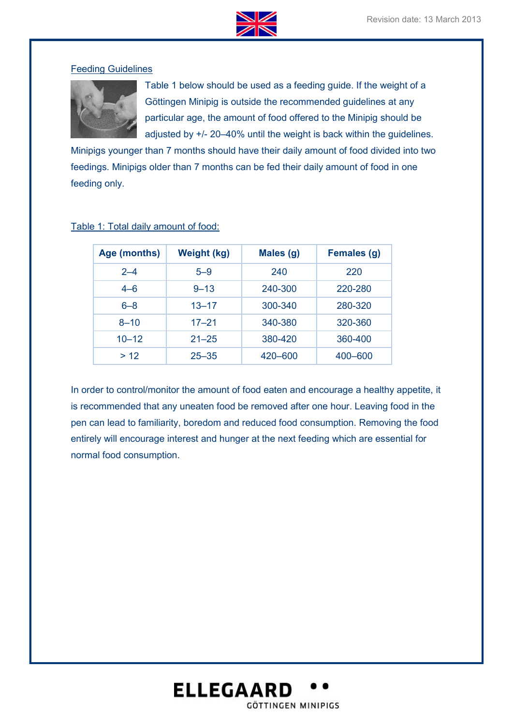

#### Feeding Guidelines



Table 1 below should be used as a feeding guide. If the weight of a Göttingen Minipig is outside the recommended guidelines at any particular age, the amount of food offered to the Minipig should be adjusted by +/- 20–40% until the weight is back within the guidelines.

Minipigs younger than 7 months should have their daily amount of food divided into two feedings. Minipigs older than 7 months can be fed their daily amount of food in one feeding only.

| Age (months) | <b>Weight (kg)</b> | Males (g) | <b>Females (g)</b> |
|--------------|--------------------|-----------|--------------------|
| $2 - 4$      | $5 - 9$            | 240       | 220                |
| $4 - 6$      | $9 - 13$           | 240-300   | 220-280            |
| $6 - 8$      | $13 - 17$          | 300-340   | 280-320            |
| $8 - 10$     | $17 - 21$          | 340-380   | 320-360            |
| $10 - 12$    | $21 - 25$          | 380-420   | 360-400            |
| >12          | $25 - 35$          | 420 - 600 | 400 - 600          |

#### Table 1: Total daily amount of food:

In order to control/monitor the amount of food eaten and encourage a healthy appetite, it is recommended that any uneaten food be removed after one hour. Leaving food in the pen can lead to familiarity, boredom and reduced food consumption. Removing the food entirely will encourage interest and hunger at the next feeding which are essential for normal food consumption.

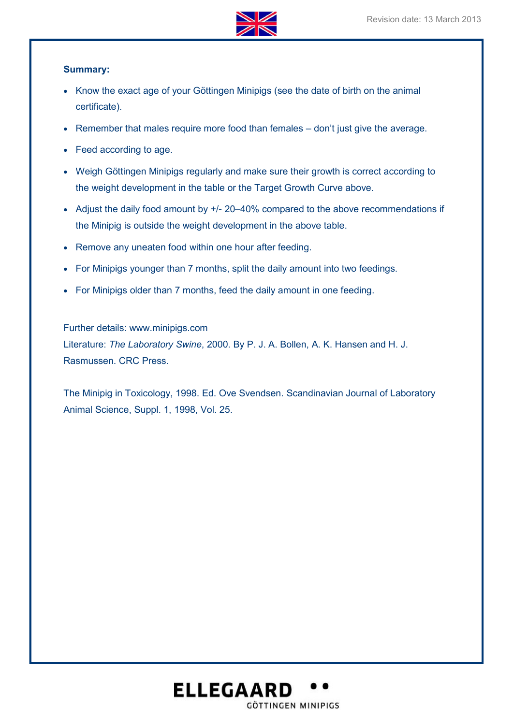

#### **Summary:**

- Know the exact age of your Göttingen Minipigs (see the date of birth on the animal certificate).
- Remember that males require more food than females don't just give the average.
- Feed according to age.
- Weigh Göttingen Minipigs regularly and make sure their growth is correct according to the weight development in the table or the Target Growth Curve above.
- Adjust the daily food amount by +/- 20-40% compared to the above recommendations if the Minipig is outside the weight development in the above table.
- Remove any uneaten food within one hour after feeding.
- For Minipigs younger than 7 months, split the daily amount into two feedings.
- For Minipigs older than 7 months, feed the daily amount in one feeding.

Further details: www.minipigs.com Literature: *The Laboratory Swine*, 2000. By P. J. A. Bollen, A. K. Hansen and H. J. Rasmussen. CRC Press.

The Minipig in Toxicology, 1998. Ed. Ove Svendsen. Scandinavian Journal of Laboratory Animal Science, Suppl. 1, 1998, Vol. 25.

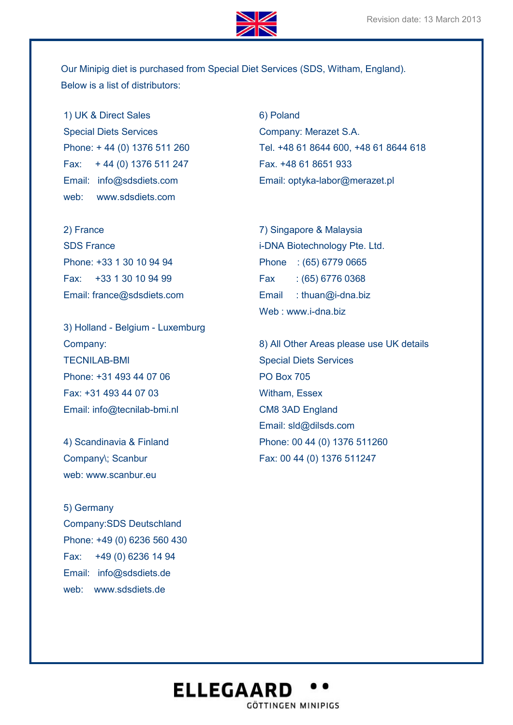

Our Minipig diet is purchased from Special Diet Services (SDS, Witham, England). Below is a list of distributors:

1) UK & Direct Sales Special Diets Services Phone: + 44 (0) 1376 511 260 Fax: + 44 (0) 1376 511 247 Email: info@sdsdiets.com web: www.sdsdiets.com

2) France SDS France Phone: +33 1 30 10 94 94 Fax: +33 1 30 10 94 99 Email: france@sdsdiets.com

3) Holland - Belgium - Luxemburg Company: TECNILAB-BMI Phone: +31 493 44 07 06 Fax: +31 493 44 07 03 Email: info@tecnilab-bmi.nl

4) Scandinavia & Finland Company\; Scanbur web: www.scanbur.eu

5) Germany Company:SDS Deutschland Phone: +49 (0) 6236 560 430 Fax: +49 (0) 6236 14 94 Email: info@sdsdiets.de web: www.sdsdiets.de

6) Poland Company: Merazet S.A. Tel. +48 61 8644 600, +48 61 8644 618 Fax. +48 61 8651 933 Email: optyka-labor@merazet.pl

7) Singapore & Malaysia i-DNA Biotechnology Pte. Ltd. Phone : (65) 6779 0665 Fax : (65) 6776 0368 Email : thuan@i-dna.biz Web : www.i-dna.biz

8) All Other Areas please use UK details Special Diets Services PO Box 705 Witham, Essex CM8 3AD England Email: sld@dilsds.com Phone: 00 44 (0) 1376 511260 Fax: 00 44 (0) 1376 511247